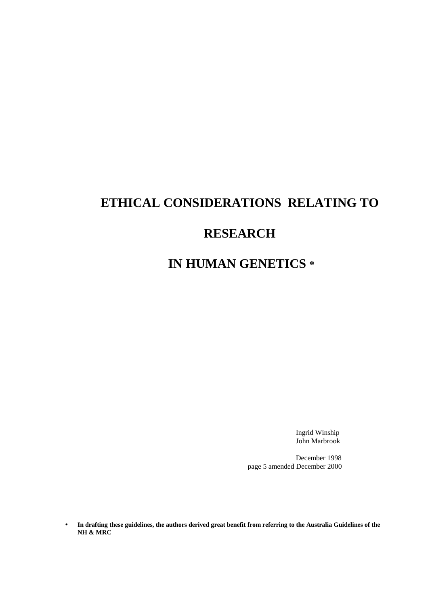# **ETHICAL CONSIDERATIONS RELATING TO**

# **RESEARCH**

# **IN HUMAN GENETICS \***

Ingrid Winship John Marbrook

 December 1998 page 5 amended December 2000

• **In drafting these guidelines, the authors derived great benefit from referring to the Australia Guidelines of the NH & MRC**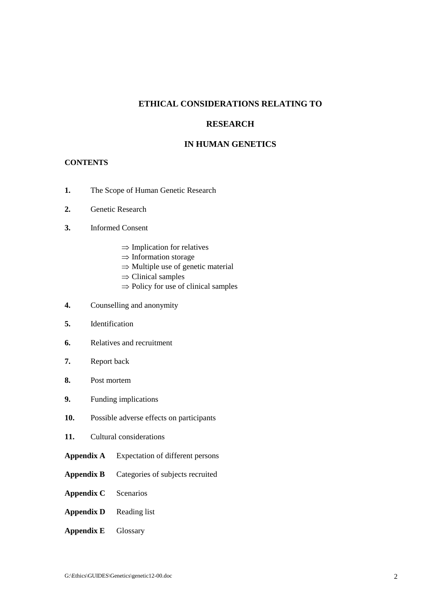# **ETHICAL CONSIDERATIONS RELATING TO**

# **RESEARCH**

# **IN HUMAN GENETICS**

## **CONTENTS**

- **1.** The Scope of Human Genetic Research
- **2.** Genetic Research
- **3.** Informed Consent
	- $\Rightarrow$  Implication for relatives
	- ⇒ Information storage
	- ⇒ Multiple use of genetic material
	- $\Rightarrow$  Clinical samples
	- $\Rightarrow$  Policy for use of clinical samples
- **4.** Counselling and anonymity
- **5.** Identification
- **6.** Relatives and recruitment
- **7.** Report back
- **8.** Post mortem
- **9.** Funding implications
- **10.** Possible adverse effects on participants
- **11.** Cultural considerations
- **Appendix A** Expectation of different persons
- **Appendix B** Categories of subjects recruited
- **Appendix C** Scenarios
- **Appendix D** Reading list
- **Appendix E** Glossary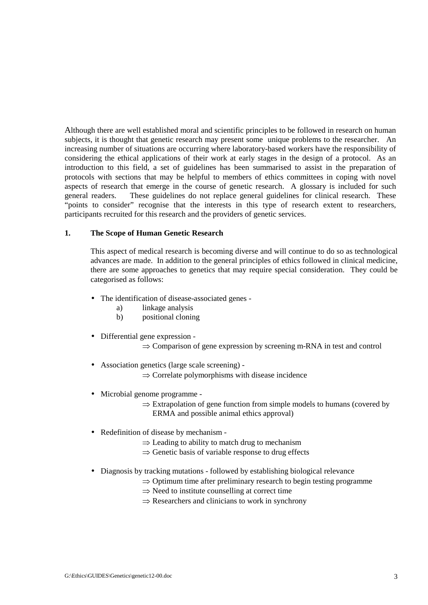Although there are well established moral and scientific principles to be followed in research on human subjects, it is thought that genetic research may present some unique problems to the researcher. An increasing number of situations are occurring where laboratory-based workers have the responsibility of considering the ethical applications of their work at early stages in the design of a protocol. As an introduction to this field, a set of guidelines has been summarised to assist in the preparation of protocols with sections that may be helpful to members of ethics committees in coping with novel aspects of research that emerge in the course of genetic research. A glossary is included for such general readers. These guidelines do not replace general guidelines for clinical research. These "points to consider" recognise that the interests in this type of research extent to researchers, participants recruited for this research and the providers of genetic services.

#### **1. The Scope of Human Genetic Research**

This aspect of medical research is becoming diverse and will continue to do so as technological advances are made. In addition to the general principles of ethics followed in clinical medicine, there are some approaches to genetics that may require special consideration. They could be categorised as follows:

- The identification of disease-associated genes
	- a) linkage analysis
	- b) positional cloning
- Differential gene expression
	- ⇒ Comparison of gene expression by screening m-RNA in test and control
- Association genetics (large scale screening)
	- $\Rightarrow$  Correlate polymorphisms with disease incidence
- Microbial genome programme
	- $\Rightarrow$  Extrapolation of gene function from simple models to humans (covered by ERMA and possible animal ethics approval)
- Redefinition of disease by mechanism
	- $\Rightarrow$  Leading to ability to match drug to mechanism
	- $\Rightarrow$  Genetic basis of variable response to drug effects
- Diagnosis by tracking mutations followed by establishing biological relevance
	- $\Rightarrow$  Optimum time after preliminary research to begin testing programme
	- $\Rightarrow$  Need to institute counselling at correct time
	- $\Rightarrow$  Researchers and clinicians to work in synchrony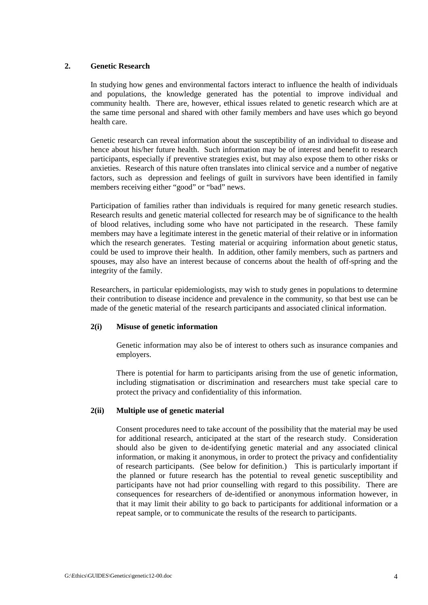### **2. Genetic Research**

In studying how genes and environmental factors interact to influence the health of individuals and populations, the knowledge generated has the potential to improve individual and community health. There are, however, ethical issues related to genetic research which are at the same time personal and shared with other family members and have uses which go beyond health care.

Genetic research can reveal information about the susceptibility of an individual to disease and hence about his/her future health. Such information may be of interest and benefit to research participants, especially if preventive strategies exist, but may also expose them to other risks or anxieties. Research of this nature often translates into clinical service and a number of negative factors, such as depression and feelings of guilt in survivors have been identified in family members receiving either "good" or "bad" news.

Participation of families rather than individuals is required for many genetic research studies. Research results and genetic material collected for research may be of significance to the health of blood relatives, including some who have not participated in the research. These family members may have a legitimate interest in the genetic material of their relative or in information which the research generates. Testing material or acquiring information about genetic status, could be used to improve their health. In addition, other family members, such as partners and spouses, may also have an interest because of concerns about the health of off-spring and the integrity of the family.

Researchers, in particular epidemiologists, may wish to study genes in populations to determine their contribution to disease incidence and prevalence in the community, so that best use can be made of the genetic material of the research participants and associated clinical information.

### **2(i) Misuse of genetic information**

Genetic information may also be of interest to others such as insurance companies and employers.

There is potential for harm to participants arising from the use of genetic information, including stigmatisation or discrimination and researchers must take special care to protect the privacy and confidentiality of this information.

### **2(ii) Multiple use of genetic material**

Consent procedures need to take account of the possibility that the material may be used for additional research, anticipated at the start of the research study. Consideration should also be given to de-identifying genetic material and any associated clinical information, or making it anonymous, in order to protect the privacy and confidentiality of research participants. (See below for definition.) This is particularly important if the planned or future research has the potential to reveal genetic susceptibility and participants have not had prior counselling with regard to this possibility. There are consequences for researchers of de-identified or anonymous information however, in that it may limit their ability to go back to participants for additional information or a repeat sample, or to communicate the results of the research to participants.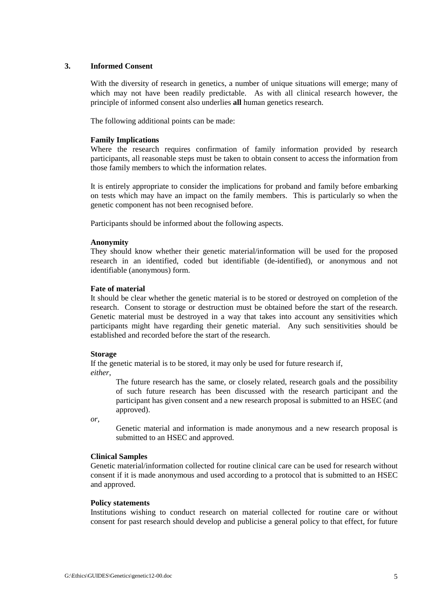#### **3. Informed Consent**

With the diversity of research in genetics, a number of unique situations will emerge; many of which may not have been readily predictable. As with all clinical research however, the principle of informed consent also underlies **all** human genetics research.

The following additional points can be made:

#### **Family Implications**

Where the research requires confirmation of family information provided by research participants, all reasonable steps must be taken to obtain consent to access the information from those family members to which the information relates.

It is entirely appropriate to consider the implications for proband and family before embarking on tests which may have an impact on the family members. This is particularly so when the genetic component has not been recognised before.

Participants should be informed about the following aspects.

#### **Anonymity**

They should know whether their genetic material/information will be used for the proposed research in an identified, coded but identifiable (de-identified), or anonymous and not identifiable (anonymous) form.

#### **Fate of material**

It should be clear whether the genetic material is to be stored or destroyed on completion of the research. Consent to storage or destruction must be obtained before the start of the research. Genetic material must be destroyed in a way that takes into account any sensitivities which participants might have regarding their genetic material. Any such sensitivities should be established and recorded before the start of the research.

#### **Storage**

If the genetic material is to be stored, it may only be used for future research if, *either*,

 The future research has the same, or closely related, research goals and the possibility of such future research has been discussed with the research participant and the participant has given consent and a new research proposal is submitted to an HSEC (and approved).

*or,* 

Genetic material and information is made anonymous and a new research proposal is submitted to an HSEC and approved.

#### **Clinical Samples**

Genetic material/information collected for routine clinical care can be used for research without consent if it is made anonymous and used according to a protocol that is submitted to an HSEC and approved.

#### **Policy statements**

Institutions wishing to conduct research on material collected for routine care or without consent for past research should develop and publicise a general policy to that effect, for future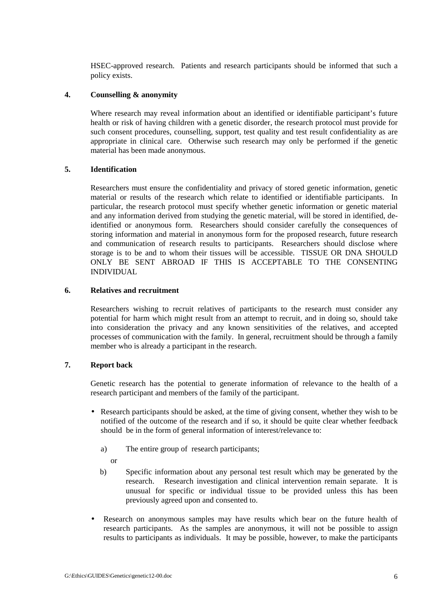HSEC-approved research. Patients and research participants should be informed that such a policy exists.

### **4. Counselling & anonymity**

 Where research may reveal information about an identified or identifiable participant's future health or risk of having children with a genetic disorder, the research protocol must provide for such consent procedures, counselling, support, test quality and test result confidentiality as are appropriate in clinical care. Otherwise such research may only be performed if the genetic material has been made anonymous.

## **5. Identification**

 Researchers must ensure the confidentiality and privacy of stored genetic information, genetic material or results of the research which relate to identified or identifiable participants. In particular, the research protocol must specify whether genetic information or genetic material and any information derived from studying the genetic material, will be stored in identified, deidentified or anonymous form. Researchers should consider carefully the consequences of storing information and material in anonymous form for the proposed research, future research and communication of research results to participants. Researchers should disclose where storage is to be and to whom their tissues will be accessible. TISSUE OR DNA SHOULD ONLY BE SENT ABROAD IF THIS IS ACCEPTABLE TO THE CONSENTING INDIVIDUAL

### **6. Relatives and recruitment**

 Researchers wishing to recruit relatives of participants to the research must consider any potential for harm which might result from an attempt to recruit, and in doing so, should take into consideration the privacy and any known sensitivities of the relatives, and accepted processes of communication with the family. In general, recruitment should be through a family member who is already a participant in the research.

# **7. Report back**

 Genetic research has the potential to generate information of relevance to the health of a research participant and members of the family of the participant.

- Research participants should be asked, at the time of giving consent, whether they wish to be notified of the outcome of the research and if so, it should be quite clear whether feedback should be in the form of general information of interest/relevance to:
	- a) The entire group of research participants;
		- or
	- b) Specific information about any personal test result which may be generated by the research. Research investigation and clinical intervention remain separate. It is unusual for specific or individual tissue to be provided unless this has been previously agreed upon and consented to.
- Research on anonymous samples may have results which bear on the future health of research participants. As the samples are anonymous, it will not be possible to assign results to participants as individuals. It may be possible, however, to make the participants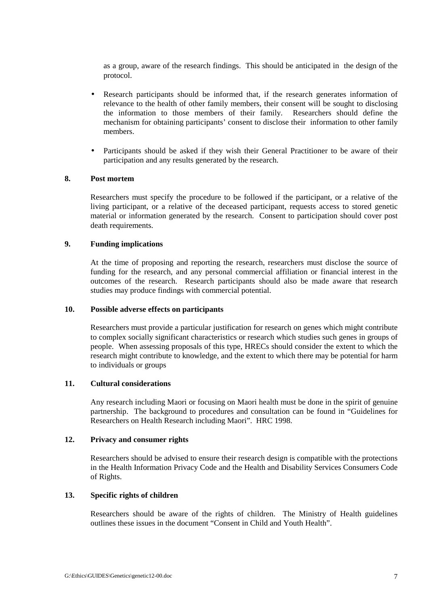as a group, aware of the research findings. This should be anticipated in the design of the protocol.

- Research participants should be informed that, if the research generates information of relevance to the health of other family members, their consent will be sought to disclosing the information to those members of their family. Researchers should define the mechanism for obtaining participants' consent to disclose their information to other family members.
- Participants should be asked if they wish their General Practitioner to be aware of their participation and any results generated by the research.

### **8. Post mortem**

 Researchers must specify the procedure to be followed if the participant, or a relative of the living participant, or a relative of the deceased participant, requests access to stored genetic material or information generated by the research. Consent to participation should cover post death requirements.

#### **9. Funding implications**

 At the time of proposing and reporting the research, researchers must disclose the source of funding for the research, and any personal commercial affiliation or financial interest in the outcomes of the research. Research participants should also be made aware that research studies may produce findings with commercial potential.

#### **10. Possible adverse effects on participants**

 Researchers must provide a particular justification for research on genes which might contribute to complex socially significant characteristics or research which studies such genes in groups of people. When assessing proposals of this type, HRECs should consider the extent to which the research might contribute to knowledge, and the extent to which there may be potential for harm to individuals or groups

### **11. Cultural considerations**

 Any research including Maori or focusing on Maori health must be done in the spirit of genuine partnership. The background to procedures and consultation can be found in "Guidelines for Researchers on Health Research including Maori". HRC 1998.

#### **12. Privacy and consumer rights**

Researchers should be advised to ensure their research design is compatible with the protections in the Health Information Privacy Code and the Health and Disability Services Consumers Code of Rights.

#### **13. Specific rights of children**

 Researchers should be aware of the rights of children. The Ministry of Health guidelines outlines these issues in the document "Consent in Child and Youth Health".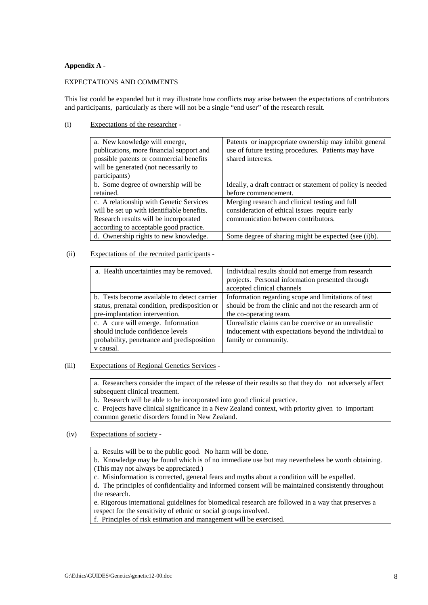#### **Appendix A -**

#### EXPECTATIONS AND COMMENTS

This list could be expanded but it may illustrate how conflicts may arise between the expectations of contributors and participants, particularly as there will not be a single "end user" of the research result.

#### (i) Expectations of the researcher -

| a. New knowledge will emerge,              | Patents or inappropriate ownership may inhibit general     |
|--------------------------------------------|------------------------------------------------------------|
| publications, more financial support and   | use of future testing procedures. Patients may have        |
| possible patents or commercial benefits    | shared interests.                                          |
| will be generated (not necessarily to      |                                                            |
| participants)                              |                                                            |
| b. Some degree of ownership will be        | Ideally, a draft contract or statement of policy is needed |
| retained.                                  | before commencement.                                       |
| c. A relationship with Genetic Services    | Merging research and clinical testing and full             |
| will be set up with identifiable benefits. | consideration of ethical issues require early              |
| Research results will be incorporated      | communication between contributors.                        |
| according to acceptable good practice.     |                                                            |
| d. Ownership rights to new knowledge.      | Some degree of sharing might be expected (see (i)b).       |

#### (ii) Expectations of the recruited participants -

| a. Health uncertainties may be removed.       | Individual results should not emerge from research<br>projects. Personal information presented through |  |
|-----------------------------------------------|--------------------------------------------------------------------------------------------------------|--|
|                                               |                                                                                                        |  |
|                                               | accepted clinical channels                                                                             |  |
| b. Tests become available to detect carrier   | Information regarding scope and limitations of test                                                    |  |
| status, prenatal condition, predisposition or | should be from the clinic and not the research arm of                                                  |  |
| pre-implantation intervention.                | the co-operating team.                                                                                 |  |
| c. A cure will emerge. Information            | Unrealistic claims can be coercive or an unrealistic                                                   |  |
| should include confidence levels              | inducement with expectations beyond the individual to                                                  |  |
| probability, penetrance and predisposition    | family or community.                                                                                   |  |
| v causal.                                     |                                                                                                        |  |

#### (iii) Expectations of Regional Genetics Services -

a. Researchers consider the impact of the release of their results so that they do not adversely affect subsequent clinical treatment.

b. Research will be able to be incorporated into good clinical practice.

c. Projects have clinical significance in a New Zealand context, with priority given to important common genetic disorders found in New Zealand.

### (iv) Expectations of society -

a. Results will be to the public good. No harm will be done.

b. Knowledge may be found which is of no immediate use but may nevertheless be worth obtaining. (This may not always be appreciated.)

c. Misinformation is corrected, general fears and myths about a condition will be expelled.

d. The principles of confidentiality and informed consent will be maintained consistently throughout the research.

e. Rigorous international guidelines for biomedical research are followed in a way that preserves a respect for the sensitivity of ethnic or social groups involved.

f. Principles of risk estimation and management will be exercised.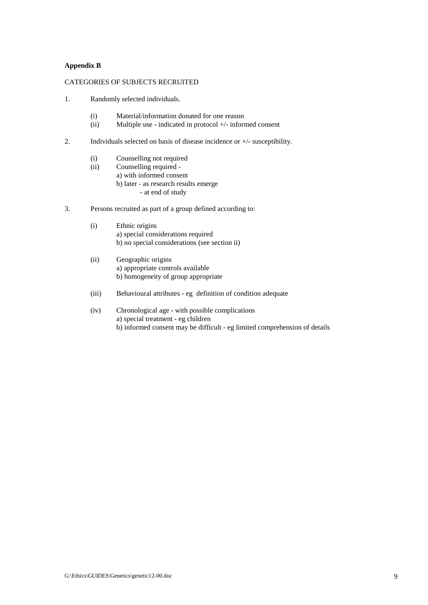#### **Appendix B**

#### CATEGORIES OF SUBJECTS RECRUITED

- 1. Randomly selected individuals.
	- (i) Material/information donated for one reason
	- (ii) Multiple use indicated in protocol +/- informed consent
- 2. Individuals selected on basis of disease incidence or +/- susceptibility.
	- (i) Counselling not required
	- (ii) Counselling required a) with informed consent b) later - as research results emerge - at end of study
- 3. Persons recruited as part of a group defined according to:
	- (i) Ethnic origins a) special considerations required b) no special considerations (see section ii)
	- (ii) Geographic origins a) appropriate controls available b) homogeneity of group appropriate
	- (iii) Behavioural attributes eg definition of condition adequate
	- (iv) Chronological age with possible complications a) special treatment - eg children b) informed consent may be difficult - eg limited comprehension of details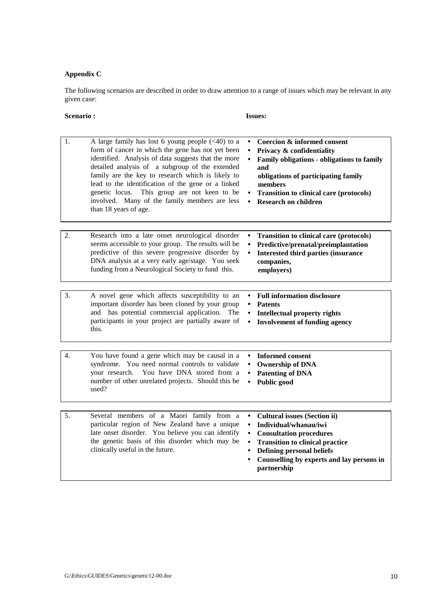# **Appendix C**

The following scenarios are described in order to draw attention to a range of issues which may be relevant in any given case:

#### **Scenario : Issues:**

| 1. | A large family has lost 6 young people $(40)$ to a<br>form of cancer in which the gene has not yet been<br>identified. Analysis of data suggests that the more<br>detailed analysis of a subgroup of the extended<br>family are the key to research which is likely to<br>lead to the identification of the gene or a linked<br>This group are not keen to be<br>genetic locus.<br>involved. Many of the family members are less<br>than 18 years of age. | Coercion & informed consent<br>Privacy & confidentiality<br>Family obligations - obligations to family<br>and<br>obligations of participating family<br>members<br><b>Transition to clinical care (protocols)</b><br><b>Research on children</b>      |
|----|-----------------------------------------------------------------------------------------------------------------------------------------------------------------------------------------------------------------------------------------------------------------------------------------------------------------------------------------------------------------------------------------------------------------------------------------------------------|-------------------------------------------------------------------------------------------------------------------------------------------------------------------------------------------------------------------------------------------------------|
| 2. | Research into a late onset neurological disorder<br>seems accessible to your group. The results will be<br>predictive of this severe progressive disorder by<br>DNA analysis at a very early age/stage. You seek<br>funding from a Neurological Society to fund this.                                                                                                                                                                                     | <b>Transition to clinical care (protocols)</b><br>Predictive/prenatal/preimplantation<br><b>Interested third parties (insurance</b><br>$\bullet$<br>companies,<br>employers)                                                                          |
| 3. | A novel gene which affects susceptibility to an<br>important disorder has been cloned by your group<br>and has potential commercial application. The<br>participants in your project are partially aware of<br>this.                                                                                                                                                                                                                                      | <b>Full information disclosure</b><br><b>Patents</b><br><b>Intellectual property rights</b><br>$\bullet$<br><b>Involvement of funding agency</b><br>$\bullet$                                                                                         |
| 4. | You have found a gene which may be causal in a<br>syndrome. You need normal controls to validate<br>You have DNA stored from a<br>your research.<br>number of other unrelated projects. Should this be<br>used?                                                                                                                                                                                                                                           | <b>Informed consent</b><br><b>Ownership of DNA</b><br><b>Patenting of DNA</b><br>Public good                                                                                                                                                          |
| 5. | Several members of a Maori family from a<br>particular region of New Zealand have a unique<br>late onset disorder. You believe you can identify<br>the genetic basis of this disorder which may be<br>clinically useful in the future.                                                                                                                                                                                                                    | <b>Cultural issues (Section ii)</b><br>Individual/whanau/iwi<br><b>Consultation procedures</b><br><b>Transition to clinical practice</b><br><b>Defining personal beliefs</b><br>Counselling by experts and lay persons in<br>$\bullet$<br>partnership |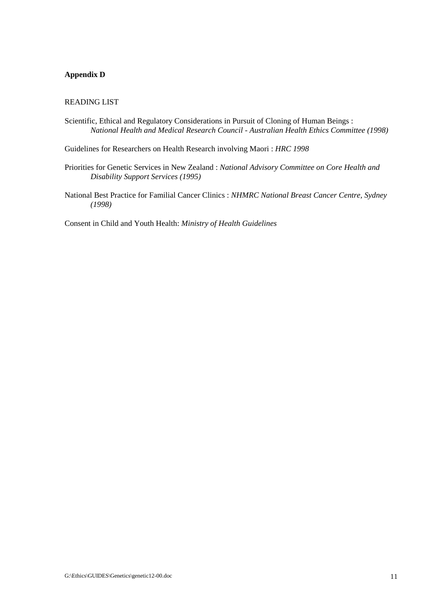# **Appendix D**

#### READING LIST

Scientific, Ethical and Regulatory Considerations in Pursuit of Cloning of Human Beings : *National Health and Medical Research Council - Australian Health Ethics Committee (1998)* 

Guidelines for Researchers on Health Research involving Maori : *HRC 1998*

- Priorities for Genetic Services in New Zealand : *National Advisory Committee on Core Health and Disability Support Services (1995)*
- National Best Practice for Familial Cancer Clinics : *NHMRC National Breast Cancer Centre, Sydney (1998)*

Consent in Child and Youth Health: *Ministry of Health Guidelines*